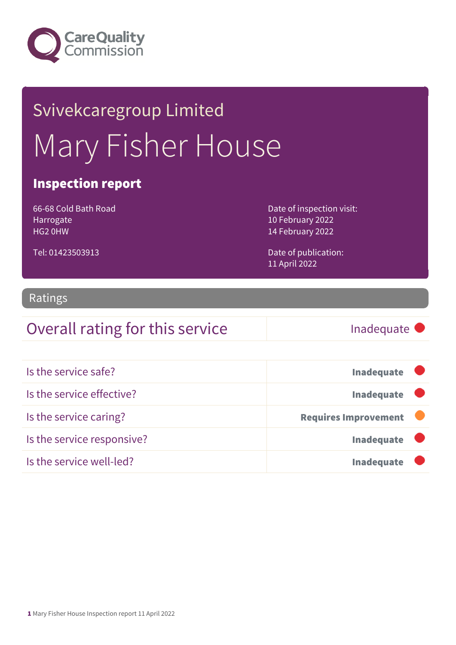

# Svivekcaregroup Limited Mary Fisher House

### Inspection report

66-68 Cold Bath Road Harrogate HG2 0HW

Tel: 01423503913

Date of inspection visit: 10 February 2022 14 February 2022

Date of publication: 11 April 2022

#### Ratings

### Overall rating for this service **Inadequate**

Is the service safe? In a large service safe? Is the service effective? In a large service effective? Is the service caring? The service caring is the service caring of the service of the service caring in the service of the service of the service of the service of the service of the service of the service of the service o Is the service responsive? Is the service well-led? In a large service well-led?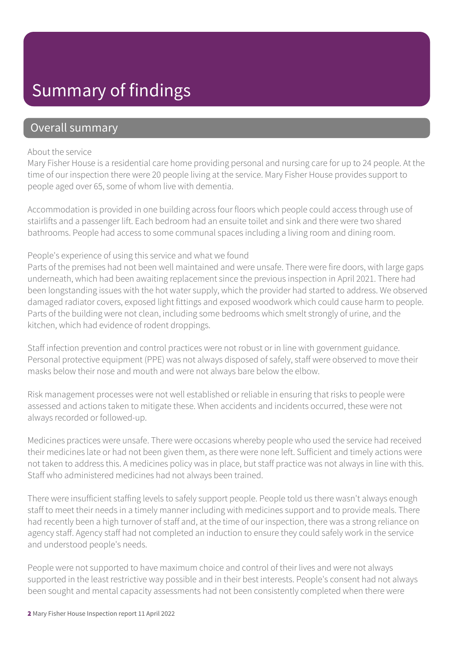### Summary of findings

### Overall summary

#### About the service

Mary Fisher House is a residential care home providing personal and nursing care for up to 24 people. At the time of our inspection there were 20 people living at the service. Mary Fisher House provides support to people aged over 65, some of whom live with dementia.

Accommodation is provided in one building across four floors which people could access through use of stairlifts and a passenger lift. Each bedroom had an ensuite toilet and sink and there were two shared bathrooms. People had access to some communal spaces including a living room and dining room.

#### People's experience of using this service and what we found

Parts of the premises had not been well maintained and were unsafe. There were fire doors, with large gaps underneath, which had been awaiting replacement since the previous inspection in April 2021. There had been longstanding issues with the hot water supply, which the provider had started to address. We observed damaged radiator covers, exposed light fittings and exposed woodwork which could cause harm to people. Parts of the building were not clean, including some bedrooms which smelt strongly of urine, and the kitchen, which had evidence of rodent droppings.

Staff infection prevention and control practices were not robust or in line with government guidance. Personal protective equipment (PPE) was not always disposed of safely, staff were observed to move their masks below their nose and mouth and were not always bare below the elbow.

Risk management processes were not well established or reliable in ensuring that risks to people were assessed and actions taken to mitigate these. When accidents and incidents occurred, these were not always recorded or followed-up.

Medicines practices were unsafe. There were occasions whereby people who used the service had received their medicines late or had not been given them, as there were none left. Sufficient and timely actions were not taken to address this. A medicines policy was in place, but staff practice was not always in line with this. Staff who administered medicines had not always been trained.

There were insufficient staffing levels to safely support people. People told us there wasn't always enough staff to meet their needs in a timely manner including with medicines support and to provide meals. There had recently been a high turnover of staff and, at the time of our inspection, there was a strong reliance on agency staff. Agency staff had not completed an induction to ensure they could safely work in the service and understood people's needs.

People were not supported to have maximum choice and control of their lives and were not always supported in the least restrictive way possible and in their best interests. People's consent had not always been sought and mental capacity assessments had not been consistently completed when there were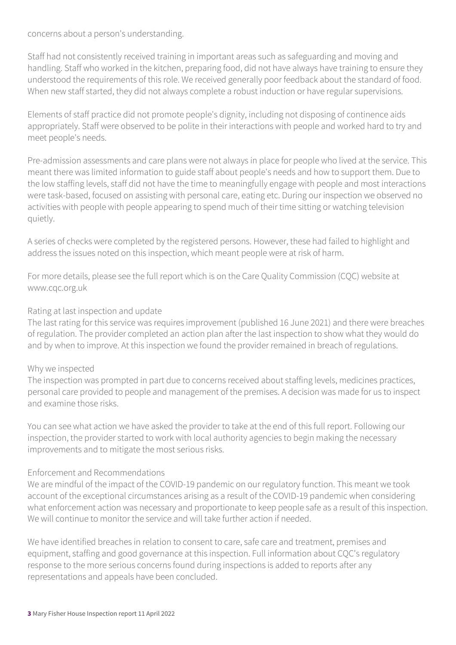concerns about a person's understanding.

Staff had not consistently received training in important areas such as safeguarding and moving and handling. Staff who worked in the kitchen, preparing food, did not have always have training to ensure they understood the requirements of this role. We received generally poor feedback about the standard of food. When new staff started, they did not always complete a robust induction or have regular supervisions.

Elements of staff practice did not promote people's dignity, including not disposing of continence aids appropriately. Staff were observed to be polite in their interactions with people and worked hard to try and meet people's needs.

Pre-admission assessments and care plans were not always in place for people who lived at the service. This meant there was limited information to guide staff about people's needs and how to support them. Due to the low staffing levels, staff did not have the time to meaningfully engage with people and most interactions were task-based, focused on assisting with personal care, eating etc. During our inspection we observed no activities with people with people appearing to spend much of their time sitting or watching television quietly.

A series of checks were completed by the registered persons. However, these had failed to highlight and address the issues noted on this inspection, which meant people were at risk of harm.

For more details, please see the full report which is on the Care Quality Commission (CQC) website at www.cqc.org.uk

#### Rating at last inspection and update

The last rating for this service was requires improvement (published 16 June 2021) and there were breaches of regulation. The provider completed an action plan after the last inspection to show what they would do and by when to improve. At this inspection we found the provider remained in breach of regulations.

#### Why we inspected

The inspection was prompted in part due to concerns received about staffing levels, medicines practices, personal care provided to people and management of the premises. A decision was made for us to inspect and examine those risks.

You can see what action we have asked the provider to take at the end of this full report. Following our inspection, the provider started to work with local authority agencies to begin making the necessary improvements and to mitigate the most serious risks.

#### Enforcement and Recommendations

We are mindful of the impact of the COVID-19 pandemic on our regulatory function. This meant we took account of the exceptional circumstances arising as a result of the COVID-19 pandemic when considering what enforcement action was necessary and proportionate to keep people safe as a result of this inspection. We will continue to monitor the service and will take further action if needed.

We have identified breaches in relation to consent to care, safe care and treatment, premises and equipment, staffing and good governance at this inspection. Full information about CQC's regulatory response to the more serious concerns found during inspections is added to reports after any representations and appeals have been concluded.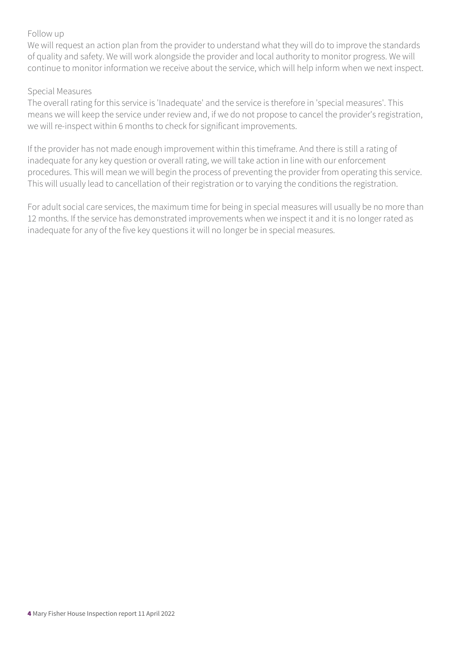#### Follow up

We will request an action plan from the provider to understand what they will do to improve the standards of quality and safety. We will work alongside the provider and local authority to monitor progress. We will continue to monitor information we receive about the service, which will help inform when we next inspect.

#### Special Measures

The overall rating for this service is 'Inadequate' and the service is therefore in 'special measures'. This means we will keep the service under review and, if we do not propose to cancel the provider's registration, we will re-inspect within 6 months to check for significant improvements.

If the provider has not made enough improvement within this timeframe. And there is still a rating of inadequate for any key question or overall rating, we will take action in line with our enforcement procedures. This will mean we will begin the process of preventing the provider from operating this service. This will usually lead to cancellation of their registration or to varying the conditions the registration.

For adult social care services, the maximum time for being in special measures will usually be no more than 12 months. If the service has demonstrated improvements when we inspect it and it is no longer rated as inadequate for any of the five key questions it will no longer be in special measures.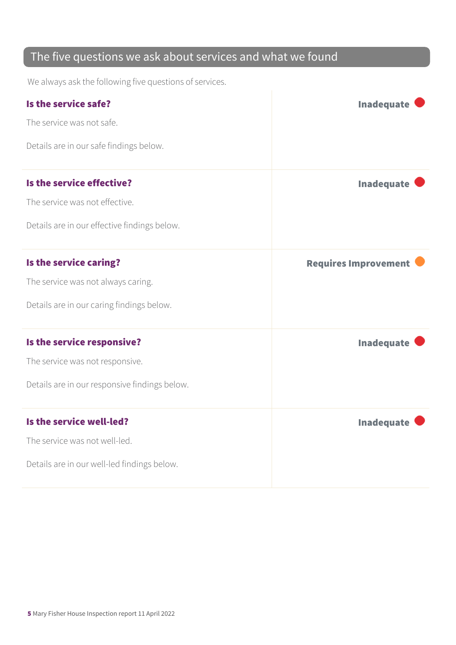### The five questions we ask about services and what we found

We always ask the following five questions of services.

| Is the service safe?                          | <b>Inadequate</b>           |
|-----------------------------------------------|-----------------------------|
| The service was not safe.                     |                             |
| Details are in our safe findings below.       |                             |
| Is the service effective?                     | <b>Inadequate</b>           |
| The service was not effective.                |                             |
| Details are in our effective findings below.  |                             |
| Is the service caring?                        | <b>Requires Improvement</b> |
| The service was not always caring.            |                             |
| Details are in our caring findings below.     |                             |
| Is the service responsive?                    | <b>Inadequate</b>           |
| The service was not responsive.               |                             |
| Details are in our responsive findings below. |                             |
| Is the service well-led?                      | <b>Inadequate</b>           |
| The service was not well-led.                 |                             |
| Details are in our well-led findings below.   |                             |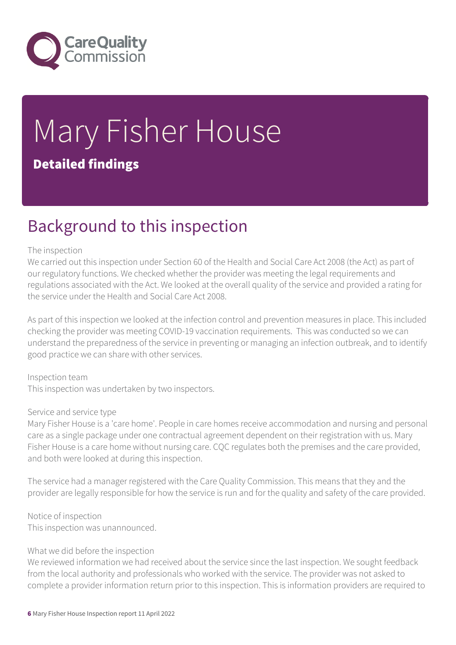

# Mary Fisher House Detailed findings

### Background to this inspection

#### The inspection

We carried out this inspection under Section 60 of the Health and Social Care Act 2008 (the Act) as part of our regulatory functions. We checked whether the provider was meeting the legal requirements and regulations associated with the Act. We looked at the overall quality of the service and provided a rating for the service under the Health and Social Care Act 2008.

As part of this inspection we looked at the infection control and prevention measures in place. This included checking the provider was meeting COVID-19 vaccination requirements. This was conducted so we can understand the preparedness of the service in preventing or managing an infection outbreak, and to identify good practice we can share with other services.

Inspection team This inspection was undertaken by two inspectors.

#### Service and service type

Mary Fisher House is a 'care home'. People in care homes receive accommodation and nursing and personal care as a single package under one contractual agreement dependent on their registration with us. Mary Fisher House is a care home without nursing care. CQC regulates both the premises and the care provided, and both were looked at during this inspection.

The service had a manager registered with the Care Quality Commission. This means that they and the provider are legally responsible for how the service is run and for the quality and safety of the care provided.

Notice of inspection This inspection was unannounced.

#### What we did before the inspection

We reviewed information we had received about the service since the last inspection. We sought feedback from the local authority and professionals who worked with the service. The provider was not asked to complete a provider information return prior to this inspection. This is information providers are required to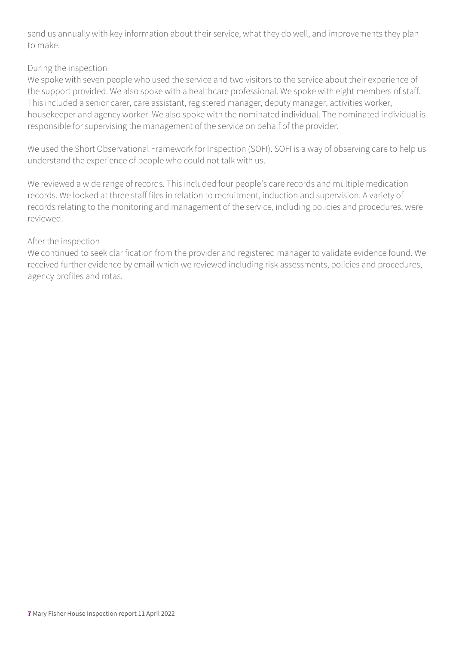send us annually with key information about their service, what they do well, and improvements they plan to make.

#### During the inspection

We spoke with seven people who used the service and two visitors to the service about their experience of the support provided. We also spoke with a healthcare professional. We spoke with eight members of staff. This included a senior carer, care assistant, registered manager, deputy manager, activities worker, housekeeper and agency worker. We also spoke with the nominated individual. The nominated individual is responsible for supervising the management of the service on behalf of the provider.

We used the Short Observational Framework for Inspection (SOFI). SOFI is a way of observing care to help us understand the experience of people who could not talk with us.

We reviewed a wide range of records. This included four people's care records and multiple medication records. We looked at three staff files in relation to recruitment, induction and supervision. A variety of records relating to the monitoring and management of the service, including policies and procedures, were reviewed.

#### After the inspection

We continued to seek clarification from the provider and registered manager to validate evidence found. We received further evidence by email which we reviewed including risk assessments, policies and procedures, agency profiles and rotas.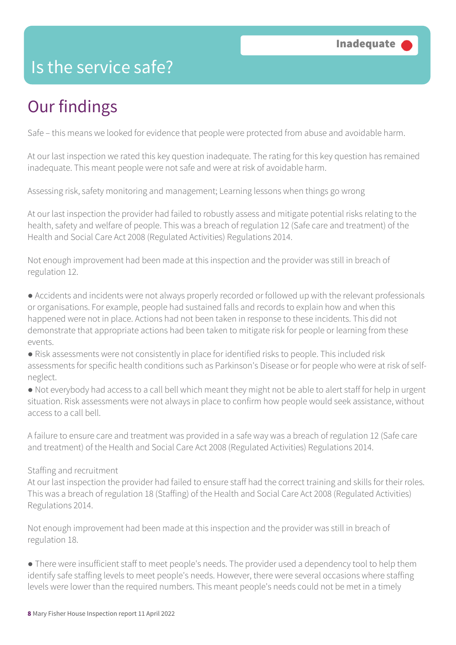### Is the service safe?

## Our findings

Safe – this means we looked for evidence that people were protected from abuse and avoidable harm.

At our last inspection we rated this key question inadequate. The rating for this key question has remained inadequate. This meant people were not safe and were at risk of avoidable harm.

Assessing risk, safety monitoring and management; Learning lessons when things go wrong

At our last inspection the provider had failed to robustly assess and mitigate potential risks relating to the health, safety and welfare of people. This was a breach of regulation 12 (Safe care and treatment) of the Health and Social Care Act 2008 (Regulated Activities) Regulations 2014.

Not enough improvement had been made at this inspection and the provider was still in breach of regulation 12.

● Accidents and incidents were not always properly recorded or followed up with the relevant professionals or organisations. For example, people had sustained falls and records to explain how and when this happened were not in place. Actions had not been taken in response to these incidents. This did not demonstrate that appropriate actions had been taken to mitigate risk for people or learning from these events.

● Risk assessments were not consistently in place for identified risks to people. This included risk assessments for specific health conditions such as Parkinson's Disease or for people who were at risk of selfneglect.

● Not everybody had access to a call bell which meant they might not be able to alert staff for help in urgent situation. Risk assessments were not always in place to confirm how people would seek assistance, without access to a call bell.

A failure to ensure care and treatment was provided in a safe way was a breach of regulation 12 (Safe care and treatment) of the Health and Social Care Act 2008 (Regulated Activities) Regulations 2014.

#### Staffing and recruitment

At our last inspection the provider had failed to ensure staff had the correct training and skills for their roles. This was a breach of regulation 18 (Staffing) of the Health and Social Care Act 2008 (Regulated Activities) Regulations 2014.

Not enough improvement had been made at this inspection and the provider was still in breach of regulation 18.

● There were insufficient staff to meet people's needs. The provider used a dependency tool to help them identify safe staffing levels to meet people's needs. However, there were several occasions where staffing levels were lower than the required numbers. This meant people's needs could not be met in a timely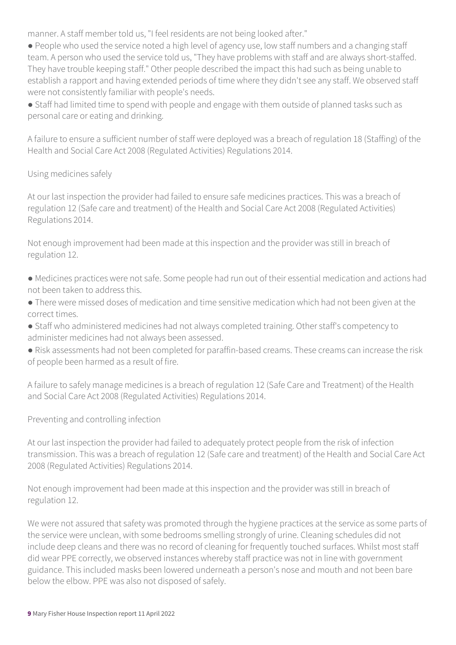manner. A staff member told us, "I feel residents are not being looked after."

● People who used the service noted a high level of agency use, low staff numbers and a changing staff team. A person who used the service told us, "They have problems with staff and are always short-staffed. They have trouble keeping staff." Other people described the impact this had such as being unable to establish a rapport and having extended periods of time where they didn't see any staff. We observed staff were not consistently familiar with people's needs.

● Staff had limited time to spend with people and engage with them outside of planned tasks such as personal care or eating and drinking.

A failure to ensure a sufficient number of staff were deployed was a breach of regulation 18 (Staffing) of the Health and Social Care Act 2008 (Regulated Activities) Regulations 2014.

#### Using medicines safely

At our last inspection the provider had failed to ensure safe medicines practices. This was a breach of regulation 12 (Safe care and treatment) of the Health and Social Care Act 2008 (Regulated Activities) Regulations 2014.

Not enough improvement had been made at this inspection and the provider was still in breach of regulation 12.

- Medicines practices were not safe. Some people had run out of their essential medication and actions had not been taken to address this.
- There were missed doses of medication and time sensitive medication which had not been given at the correct times.
- Staff who administered medicines had not always completed training. Other staff's competency to administer medicines had not always been assessed.
- Risk assessments had not been completed for paraffin-based creams. These creams can increase the risk of people been harmed as a result of fire.

A failure to safely manage medicines is a breach of regulation 12 (Safe Care and Treatment) of the Health and Social Care Act 2008 (Regulated Activities) Regulations 2014.

Preventing and controlling infection

At our last inspection the provider had failed to adequately protect people from the risk of infection transmission. This was a breach of regulation 12 (Safe care and treatment) of the Health and Social Care Act 2008 (Regulated Activities) Regulations 2014.

Not enough improvement had been made at this inspection and the provider was still in breach of regulation 12.

We were not assured that safety was promoted through the hygiene practices at the service as some parts of the service were unclean, with some bedrooms smelling strongly of urine. Cleaning schedules did not include deep cleans and there was no record of cleaning for frequently touched surfaces. Whilst most staff did wear PPE correctly, we observed instances whereby staff practice was not in line with government guidance. This included masks been lowered underneath a person's nose and mouth and not been bare below the elbow. PPE was also not disposed of safely.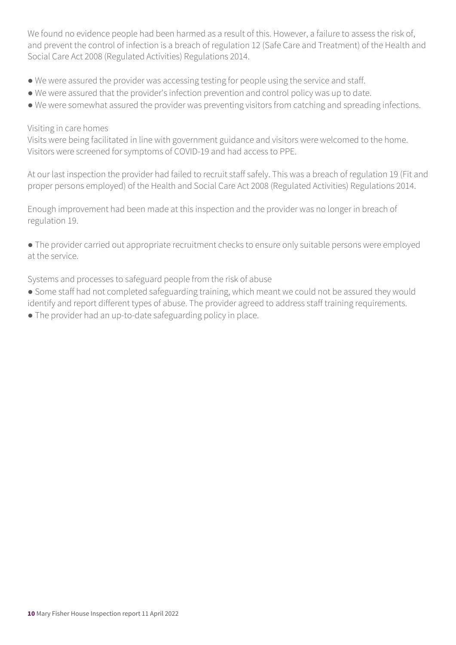We found no evidence people had been harmed as a result of this. However, a failure to assess the risk of, and prevent the control of infection is a breach of regulation 12 (Safe Care and Treatment) of the Health and Social Care Act 2008 (Regulated Activities) Regulations 2014.

- We were assured the provider was accessing testing for people using the service and staff.
- We were assured that the provider's infection prevention and control policy was up to date.
- We were somewhat assured the provider was preventing visitors from catching and spreading infections.

#### Visiting in care homes

Visits were being facilitated in line with government guidance and visitors were welcomed to the home. Visitors were screened for symptoms of COVID-19 and had access to PPE.

At our last inspection the provider had failed to recruit staff safely. This was a breach of regulation 19 (Fit and proper persons employed) of the Health and Social Care Act 2008 (Regulated Activities) Regulations 2014.

Enough improvement had been made at this inspection and the provider was no longer in breach of regulation 19.

● The provider carried out appropriate recruitment checks to ensure only suitable persons were employed at the service.

Systems and processes to safeguard people from the risk of abuse

- Some staff had not completed safeguarding training, which meant we could not be assured they would identify and report different types of abuse. The provider agreed to address staff training requirements.
- The provider had an up-to-date safeguarding policy in place.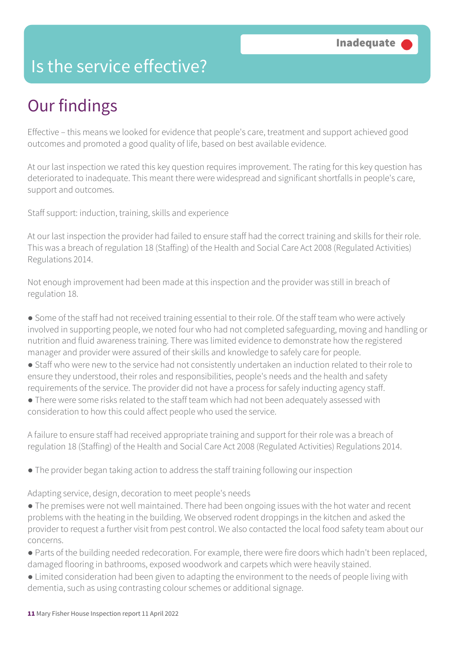### Is the service effective?

## Our findings

Effective – this means we looked for evidence that people's care, treatment and support achieved good outcomes and promoted a good quality of life, based on best available evidence.

At our last inspection we rated this key question requires improvement. The rating for this key question has deteriorated to inadequate. This meant there were widespread and significant shortfalls in people's care, support and outcomes.

Staff support: induction, training, skills and experience

At our last inspection the provider had failed to ensure staff had the correct training and skills for their role. This was a breach of regulation 18 (Staffing) of the Health and Social Care Act 2008 (Regulated Activities) Regulations 2014.

Not enough improvement had been made at this inspection and the provider was still in breach of regulation 18.

● Some of the staff had not received training essential to their role. Of the staff team who were actively involved in supporting people, we noted four who had not completed safeguarding, moving and handling or nutrition and fluid awareness training. There was limited evidence to demonstrate how the registered manager and provider were assured of their skills and knowledge to safely care for people.

● Staff who were new to the service had not consistently undertaken an induction related to their role to ensure they understood, their roles and responsibilities, people's needs and the health and safety requirements of the service. The provider did not have a process for safely inducting agency staff.

● There were some risks related to the staff team which had not been adequately assessed with consideration to how this could affect people who used the service.

A failure to ensure staff had received appropriate training and support for their role was a breach of regulation 18 (Staffing) of the Health and Social Care Act 2008 (Regulated Activities) Regulations 2014.

● The provider began taking action to address the staff training following our inspection

Adapting service, design, decoration to meet people's needs

- The premises were not well maintained. There had been ongoing issues with the hot water and recent problems with the heating in the building. We observed rodent droppings in the kitchen and asked the provider to request a further visit from pest control. We also contacted the local food safety team about our concerns.
- Parts of the building needed redecoration. For example, there were fire doors which hadn't been replaced, damaged flooring in bathrooms, exposed woodwork and carpets which were heavily stained.
- Limited consideration had been given to adapting the environment to the needs of people living with dementia, such as using contrasting colour schemes or additional signage.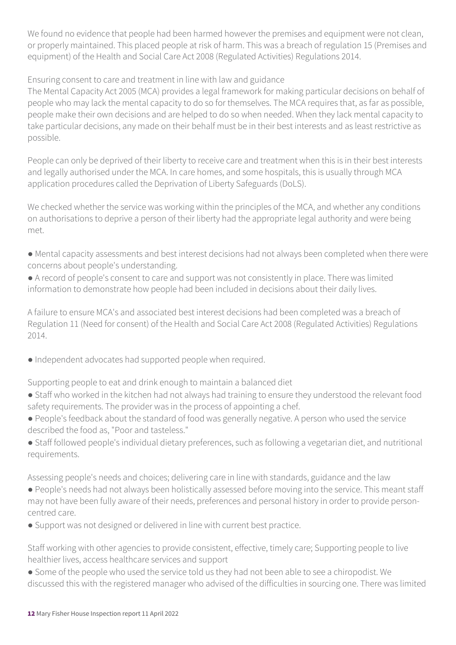We found no evidence that people had been harmed however the premises and equipment were not clean, or properly maintained. This placed people at risk of harm. This was a breach of regulation 15 (Premises and equipment) of the Health and Social Care Act 2008 (Regulated Activities) Regulations 2014.

Ensuring consent to care and treatment in line with law and guidance

The Mental Capacity Act 2005 (MCA) provides a legal framework for making particular decisions on behalf of people who may lack the mental capacity to do so for themselves. The MCA requires that, as far as possible, people make their own decisions and are helped to do so when needed. When they lack mental capacity to take particular decisions, any made on their behalf must be in their best interests and as least restrictive as possible.

People can only be deprived of their liberty to receive care and treatment when this is in their best interests and legally authorised under the MCA. In care homes, and some hospitals, this is usually through MCA application procedures called the Deprivation of Liberty Safeguards (DoLS).

We checked whether the service was working within the principles of the MCA, and whether any conditions on authorisations to deprive a person of their liberty had the appropriate legal authority and were being met.

- Mental capacity assessments and best interest decisions had not always been completed when there were concerns about people's understanding.
- A record of people's consent to care and support was not consistently in place. There was limited information to demonstrate how people had been included in decisions about their daily lives.

A failure to ensure MCA's and associated best interest decisions had been completed was a breach of Regulation 11 (Need for consent) of the Health and Social Care Act 2008 (Regulated Activities) Regulations 2014.

● Independent advocates had supported people when required.

Supporting people to eat and drink enough to maintain a balanced diet

- Staff who worked in the kitchen had not always had training to ensure they understood the relevant food safety requirements. The provider was in the process of appointing a chef.
- People's feedback about the standard of food was generally negative. A person who used the service described the food as, "Poor and tasteless."
- Staff followed people's individual dietary preferences, such as following a vegetarian diet, and nutritional requirements.

Assessing people's needs and choices; delivering care in line with standards, guidance and the law

- People's needs had not always been holistically assessed before moving into the service. This meant staff may not have been fully aware of their needs, preferences and personal history in order to provide personcentred care.
- Support was not designed or delivered in line with current best practice.

Staff working with other agencies to provide consistent, effective, timely care; Supporting people to live healthier lives, access healthcare services and support

● Some of the people who used the service told us they had not been able to see a chiropodist. We discussed this with the registered manager who advised of the difficulties in sourcing one. There was limited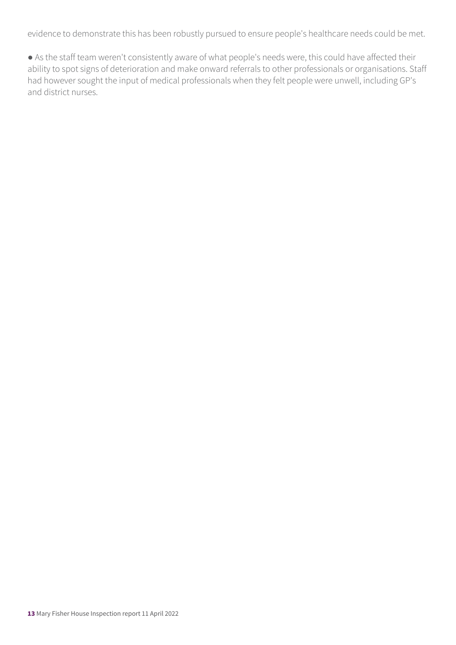evidence to demonstrate this has been robustly pursued to ensure people's healthcare needs could be met.

● As the staff team weren't consistently aware of what people's needs were, this could have affected their ability to spot signs of deterioration and make onward referrals to other professionals or organisations. Staff had however sought the input of medical professionals when they felt people were unwell, including GP's and district nurses.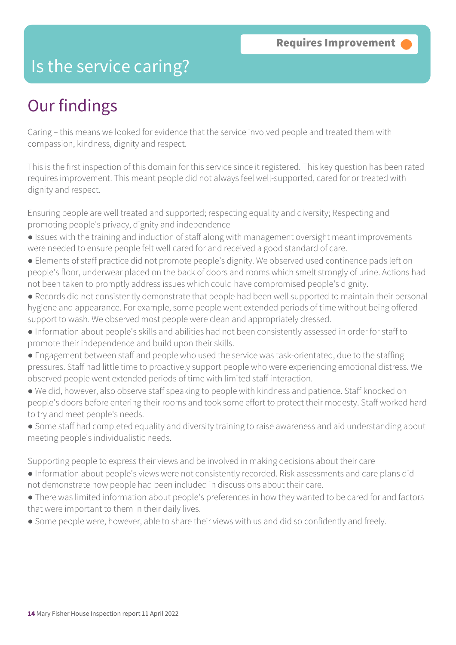### Is the service caring?

### Our findings

Caring – this means we looked for evidence that the service involved people and treated them with compassion, kindness, dignity and respect.

This is the first inspection of this domain for this service since it registered. This key question has been rated requires improvement. This meant people did not always feel well-supported, cared for or treated with dignity and respect.

Ensuring people are well treated and supported; respecting equality and diversity; Respecting and promoting people's privacy, dignity and independence

- Issues with the training and induction of staff along with management oversight meant improvements were needed to ensure people felt well cared for and received a good standard of care.
- Elements of staff practice did not promote people's dignity. We observed used continence pads left on people's floor, underwear placed on the back of doors and rooms which smelt strongly of urine. Actions had not been taken to promptly address issues which could have compromised people's dignity.
- Records did not consistently demonstrate that people had been well supported to maintain their personal hygiene and appearance. For example, some people went extended periods of time without being offered support to wash. We observed most people were clean and appropriately dressed.
- Information about people's skills and abilities had not been consistently assessed in order for staff to promote their independence and build upon their skills.
- Engagement between staff and people who used the service was task-orientated, due to the staffing pressures. Staff had little time to proactively support people who were experiencing emotional distress. We observed people went extended periods of time with limited staff interaction.
- We did, however, also observe staff speaking to people with kindness and patience. Staff knocked on people's doors before entering their rooms and took some effort to protect their modesty. Staff worked hard to try and meet people's needs.
- Some staff had completed equality and diversity training to raise awareness and aid understanding about meeting people's individualistic needs.

Supporting people to express their views and be involved in making decisions about their care

- Information about people's views were not consistently recorded. Risk assessments and care plans did not demonstrate how people had been included in discussions about their care.
- There was limited information about people's preferences in how they wanted to be cared for and factors that were important to them in their daily lives.
- Some people were, however, able to share their views with us and did so confidently and freely.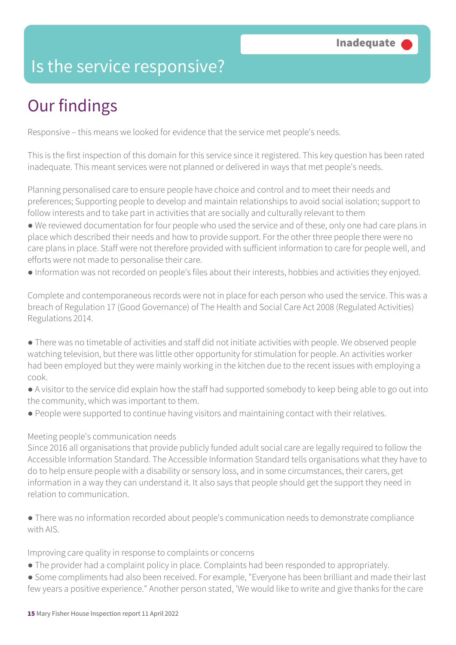### Is the service responsive?

# Our findings

Responsive – this means we looked for evidence that the service met people's needs.

This is the first inspection of this domain for this service since it registered. This key question has been rated inadequate. This meant services were not planned or delivered in ways that met people's needs.

Planning personalised care to ensure people have choice and control and to meet their needs and preferences; Supporting people to develop and maintain relationships to avoid social isolation; support to follow interests and to take part in activities that are socially and culturally relevant to them

● We reviewed documentation for four people who used the service and of these, only one had care plans in place which described their needs and how to provide support. For the other three people there were no care plans in place. Staff were not therefore provided with sufficient information to care for people well, and efforts were not made to personalise their care.

● Information was not recorded on people's files about their interests, hobbies and activities they enjoyed.

Complete and contemporaneous records were not in place for each person who used the service. This was a breach of Regulation 17 (Good Governance) of The Health and Social Care Act 2008 (Regulated Activities) Regulations 2014.

● There was no timetable of activities and staff did not initiate activities with people. We observed people watching television, but there was little other opportunity for stimulation for people. An activities worker had been employed but they were mainly working in the kitchen due to the recent issues with employing a cook.

- A visitor to the service did explain how the staff had supported somebody to keep being able to go out into the community, which was important to them.
- People were supported to continue having visitors and maintaining contact with their relatives.

#### Meeting people's communication needs

Since 2016 all organisations that provide publicly funded adult social care are legally required to follow the Accessible Information Standard. The Accessible Information Standard tells organisations what they have to do to help ensure people with a disability or sensory loss, and in some circumstances, their carers, get information in a way they can understand it. It also says that people should get the support they need in relation to communication.

● There was no information recorded about people's communication needs to demonstrate compliance with AIS

Improving care quality in response to complaints or concerns

- The provider had a complaint policy in place. Complaints had been responded to appropriately.
- Some compliments had also been received. For example, "Everyone has been brilliant and made their last few years a positive experience." Another person stated, 'We would like to write and give thanks for the care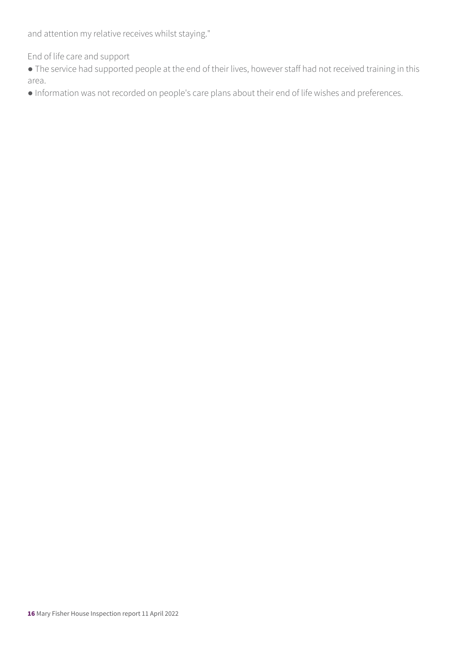and attention my relative receives whilst staying."

End of life care and support

● The service had supported people at the end of their lives, however staff had not received training in this area.

● Information was not recorded on people's care plans about their end of life wishes and preferences.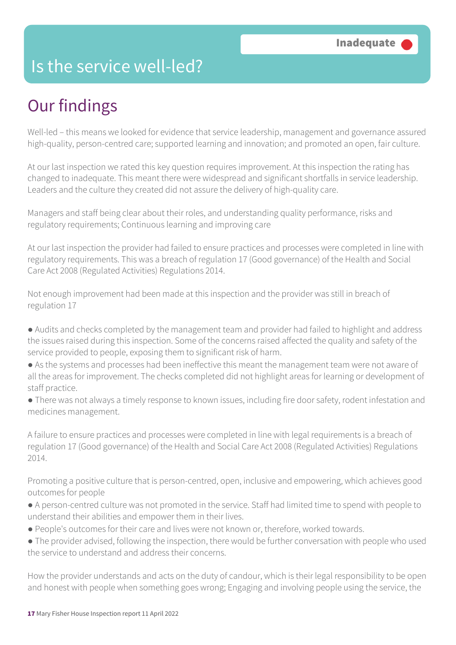### Is the service well-led?

## Our findings

Well-led – this means we looked for evidence that service leadership, management and governance assured high-quality, person-centred care; supported learning and innovation; and promoted an open, fair culture.

At our last inspection we rated this key question requires improvement. At this inspection the rating has changed to inadequate. This meant there were widespread and significant shortfalls in service leadership. Leaders and the culture they created did not assure the delivery of high-quality care.

Managers and staff being clear about their roles, and understanding quality performance, risks and regulatory requirements; Continuous learning and improving care

At our last inspection the provider had failed to ensure practices and processes were completed in line with regulatory requirements. This was a breach of regulation 17 (Good governance) of the Health and Social Care Act 2008 (Regulated Activities) Regulations 2014.

Not enough improvement had been made at this inspection and the provider was still in breach of regulation 17

- Audits and checks completed by the management team and provider had failed to highlight and address the issues raised during this inspection. Some of the concerns raised affected the quality and safety of the service provided to people, exposing them to significant risk of harm.
- As the systems and processes had been ineffective this meant the management team were not aware of all the areas for improvement. The checks completed did not highlight areas for learning or development of staff practice.
- There was not always a timely response to known issues, including fire door safety, rodent infestation and medicines management.

A failure to ensure practices and processes were completed in line with legal requirements is a breach of regulation 17 (Good governance) of the Health and Social Care Act 2008 (Regulated Activities) Regulations 2014.

Promoting a positive culture that is person-centred, open, inclusive and empowering, which achieves good outcomes for people

- A person-centred culture was not promoted in the service. Staff had limited time to spend with people to understand their abilities and empower them in their lives.
- People's outcomes for their care and lives were not known or, therefore, worked towards.
- The provider advised, following the inspection, there would be further conversation with people who used the service to understand and address their concerns.

How the provider understands and acts on the duty of candour, which is their legal responsibility to be open and honest with people when something goes wrong; Engaging and involving people using the service, the